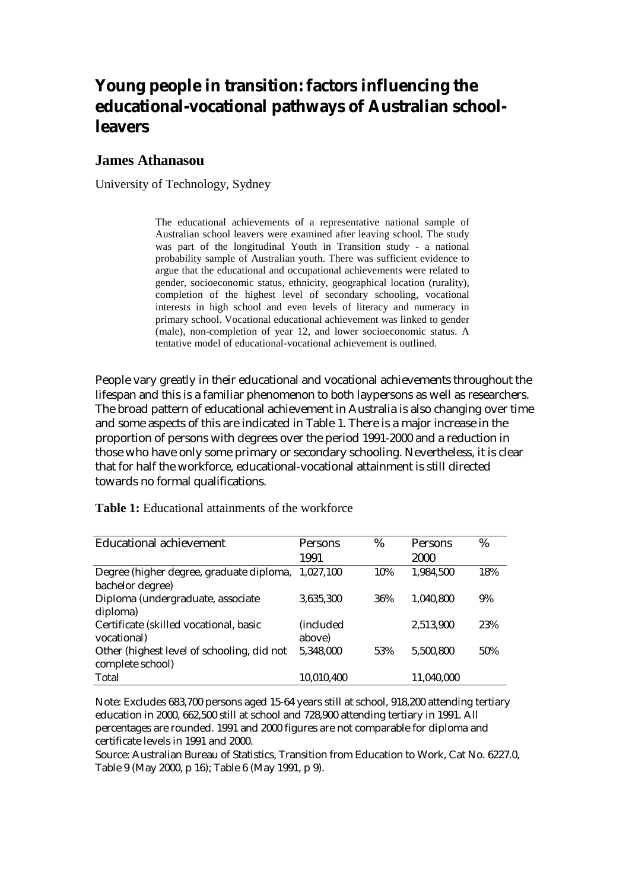# **Young people in transition: factors influencing the educational-vocational pathways of Australian schoolleavers**

### **James Athanasou**

University of Technology, Sydney

The educational achievements of a representative national sample of Australian school leavers were examined after leaving school. The study was part of the longitudinal Youth in Transition study - a national probability sample of Australian youth. There was sufficient evidence to argue that the educational and occupational achievements were related to gender, socioeconomic status, ethnicity, geographical location (rurality), completion of the highest level of secondary schooling, vocational interests in high school and even levels of literacy and numeracy in primary school. Vocational educational achievement was linked to gender (male), non-completion of year 12, and lower socioeconomic status. A tentative model of educational-vocational achievement is outlined.

People vary greatly in their educational and vocational achievements throughout the lifespan and this is a familiar phenomenon to both laypersons as well as researchers. The broad pattern of educational achievement in Australia is also changing over time and some aspects of this are indicated in Table 1. There is a major increase in the proportion of persons with degrees over the period 1991-2000 and a reduction in those who have only some primary or secondary schooling. Nevertheless, it is clear that for half the workforce, educational-vocational attainment is still directed towards no formal qualifications.

| <b>Educational achievement</b>             | <b>Persons</b>    | %   | Persons    | %   |
|--------------------------------------------|-------------------|-----|------------|-----|
|                                            | 1991              |     | 2000       |     |
| Degree (higher degree, graduate diploma,   | 1.027.100         | 10% | 1,984,500  | 18% |
| bachelor degree)                           |                   |     |            |     |
| Diploma (undergraduate, associate          | 3,635,300         | 36% | 1,040,800  | 9%  |
| diploma)                                   |                   |     |            |     |
| Certificate (skilled vocational, basic     | <i>(included)</i> |     | 2,513,900  | 23% |
| vocational)                                | above)            |     |            |     |
| Other (highest level of schooling, did not | 5,348,000         | 53% | 5,500,800  | 50% |
| complete school)                           |                   |     |            |     |
| Total                                      | 10,010,400        |     | 11,040,000 |     |

**Table 1:** Educational attainments of the workforce

Note: Excludes 683,700 persons aged 15-64 years still at school, 918,200 attending tertiary education in 2000, 662,500 still at school and 728,900 attending tertiary in 1991. All percentages are rounded. 1991 and 2000 figures are not comparable for diploma and certificate levels in 1991 and 2000.

Source: Australian Bureau of Statistics, Transition from Education to Work, Cat No. 6227.0, Table 9 (May 2000, p 16); Table 6 (May 1991, p 9).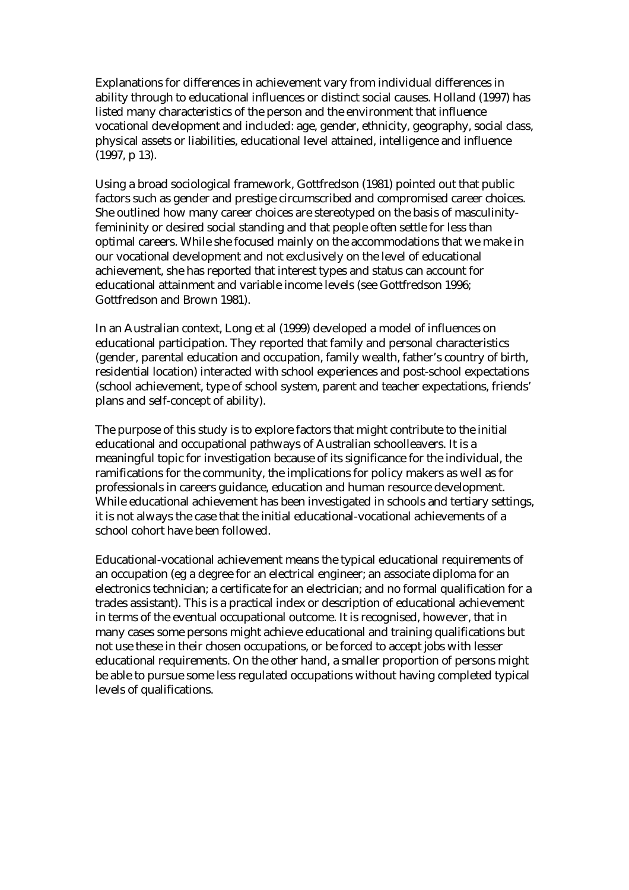Explanations for differences in achievement vary from individual differences in ability through to educational influences or distinct social causes. Holland (1997) has listed many characteristics of the person and the environment that influence vocational development and included: age, gender, ethnicity, geography, social class, physical assets or liabilities, educational level attained, intelligence and influence (1997, p 13).

Using a broad sociological framework, Gottfredson (1981) pointed out that public factors such as gender and prestige circumscribed and compromised career choices. She outlined how many career choices are stereotyped on the basis of masculinityfemininity or desired social standing and that people often settle for less than optimal careers. While she focused mainly on the accommodations that we make in our vocational development and not exclusively on the level of educational achievement, she has reported that interest types and status can account for educational attainment and variable income levels (see Gottfredson 1996; Gottfredson and Brown 1981).

In an Australian context, Long et al (1999) developed a model of influences on educational participation. They reported that family and personal characteristics (gender, parental education and occupation, family wealth, father's country of birth, residential location) interacted with school experiences and post-school expectations (school achievement, type of school system, parent and teacher expectations, friends' plans and self-concept of ability).

The purpose of this study is to explore factors that might contribute to the initial educational and occupational pathways of Australian schoolleavers. It is a meaningful topic for investigation because of its significance for the individual, the ramifications for the community, the implications for policy makers as well as for professionals in careers guidance, education and human resource development. While educational achievement has been investigated in schools and tertiary settings, it is not always the case that the initial educational-vocational achievements of a school cohort have been followed.

Educational-vocational achievement means the typical educational requirements of an occupation (eg a degree for an electrical engineer; an associate diploma for an electronics technician; a certificate for an electrician; and no formal qualification for a trades assistant). This is a practical index or description of educational achievement in terms of the eventual occupational outcome. It is recognised, however, that in many cases some persons might achieve educational and training qualifications but not use these in their chosen occupations, or be forced to accept jobs with lesser educational requirements. On the other hand, a smaller proportion of persons might be able to pursue some less regulated occupations without having completed typical levels of qualifications.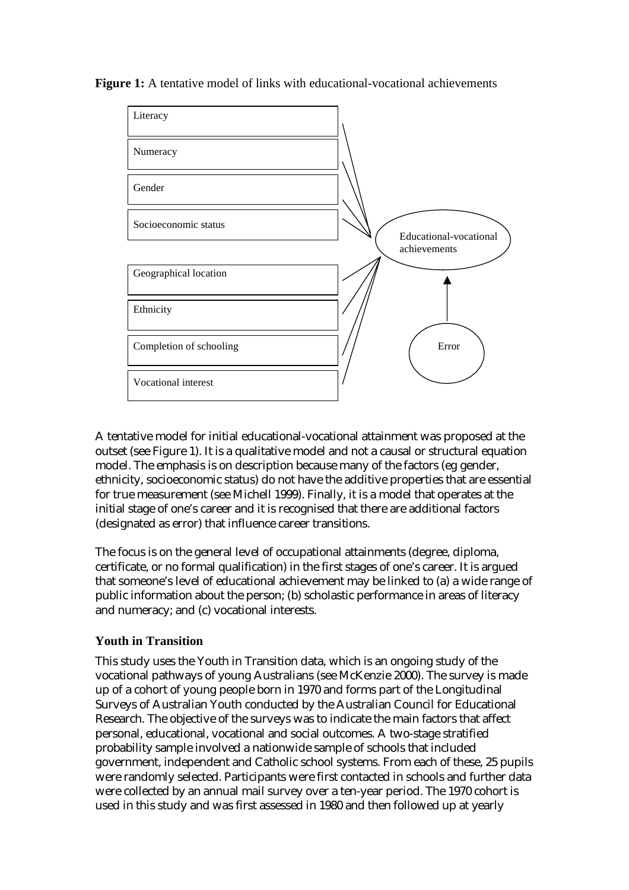



A tentative model for initial educational-vocational attainment was proposed at the outset (see Figure 1). It is a qualitative model and not a causal or structural equation model. The emphasis is on description because many of the factors (eg gender, ethnicity, socioeconomic status) do not have the additive properties that are essential for true measurement (see Michell 1999). Finally, it is a model that operates at the initial stage of one's career and it is recognised that there are additional factors (designated as error) that influence career transitions.

The focus is on the general level of occupational attainments (degree, diploma, certificate, or no formal qualification) in the first stages of one's career. It is argued that someone's level of educational achievement may be linked to (a) a wide range of public information about the person; (b) scholastic performance in areas of literacy and numeracy; and (c) vocational interests.

### **Youth in Transition**

This study uses the Youth in Transition data, which is an ongoing study of the vocational pathways of young Australians (see McKenzie 2000). The survey is made up of a cohort of young people born in 1970 and forms part of the Longitudinal Surveys of Australian Youth conducted by the Australian Council for Educational Research. The objective of the surveys was to indicate the main factors that affect personal, educational, vocational and social outcomes. A two-stage stratified probability sample involved a nationwide sample of schools that included government, independent and Catholic school systems. From each of these, 25 pupils were randomly selected. Participants were first contacted in schools and further data were collected by an annual mail survey over a ten-year period. The 1970 cohort is used in this study and was first assessed in 1980 and then followed up at yearly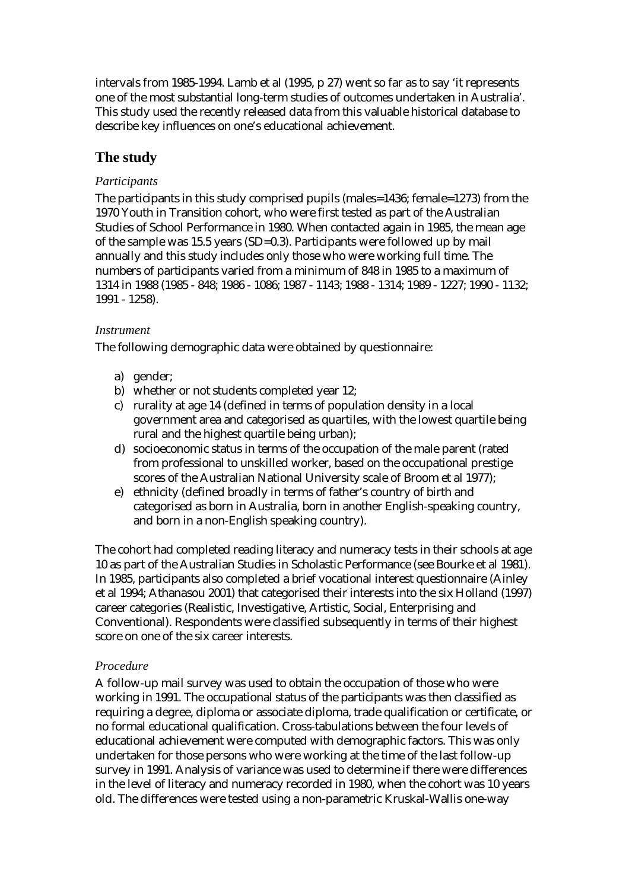intervals from 1985-1994. Lamb et al (1995, p 27) went so far as to say 'it represents one of the most substantial long-term studies of outcomes undertaken in Australia'. This study used the recently released data from this valuable historical database to describe key influences on one's educational achievement.

# **The study**

## *Participants*

The participants in this study comprised pupils (males=1436; female=1273) from the 1970 Youth in Transition cohort, who were first tested as part of the Australian Studies of School Performance in 1980. When contacted again in 1985, the mean age of the sample was 15.5 years (SD=0.3). Participants were followed up by mail annually and this study includes only those who were working full time. The numbers of participants varied from a minimum of 848 in 1985 to a maximum of 1314 in 1988 (1985 - 848; 1986 - 1086; 1987 - 1143; 1988 - 1314; 1989 - 1227; 1990 - 1132; 1991 - 1258).

## *Instrument*

The following demographic data were obtained by questionnaire:

- a) gender;
- b) whether or not students completed year 12;
- c) rurality at age 14 (defined in terms of population density in a local government area and categorised as quartiles, with the lowest quartile being rural and the highest quartile being urban);
- d) socioeconomic status in terms of the occupation of the male parent (rated from professional to unskilled worker, based on the occupational prestige scores of the Australian National University scale of Broom et al 1977);
- e) ethnicity (defined broadly in terms of father's country of birth and categorised as born in Australia, born in another English-speaking country, and born in a non-English speaking country).

The cohort had completed reading literacy and numeracy tests in their schools at age 10 as part of the Australian Studies in Scholastic Performance (see Bourke et al 1981). In 1985, participants also completed a brief vocational interest questionnaire (Ainley et al 1994; Athanasou 2001) that categorised their interests into the six Holland (1997) career categories (Realistic, Investigative, Artistic, Social, Enterprising and Conventional). Respondents were classified subsequently in terms of their highest score on one of the six career interests.

### *Procedure*

A follow-up mail survey was used to obtain the occupation of those who were working in 1991. The occupational status of the participants was then classified as requiring a degree, diploma or associate diploma, trade qualification or certificate, or no formal educational qualification. Cross-tabulations between the four levels of educational achievement were computed with demographic factors. This was only undertaken for those persons who were working at the time of the last follow-up survey in 1991. Analysis of variance was used to determine if there were differences in the level of literacy and numeracy recorded in 1980, when the cohort was 10 years old. The differences were tested using a non-parametric Kruskal-Wallis one-way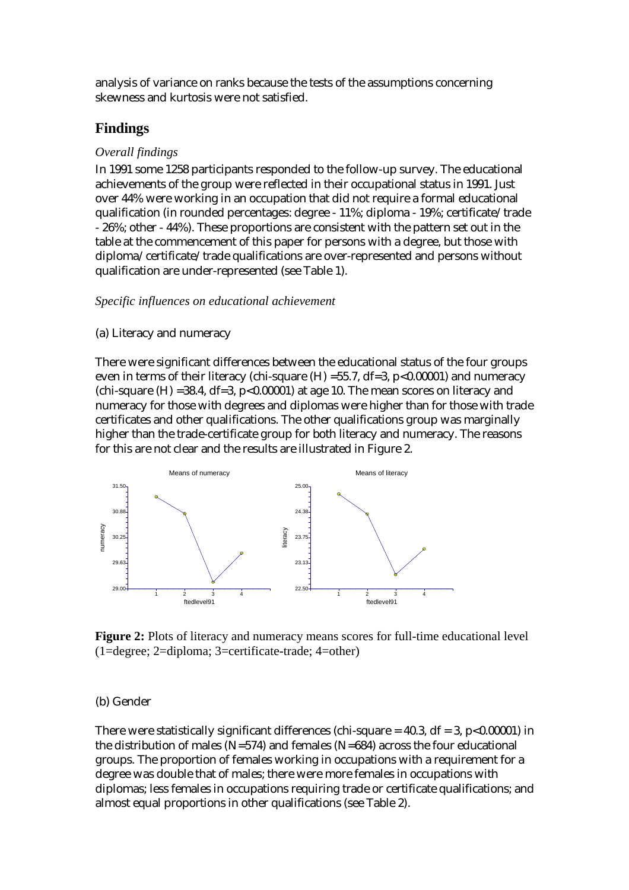analysis of variance on ranks because the tests of the assumptions concerning skewness and kurtosis were not satisfied.

### **Findings**

### *Overall findings*

In 1991 some 1258 participants responded to the follow-up survey. The educational achievements of the group were reflected in their occupational status in 1991. Just over 44% were working in an occupation that did not require a formal educational qualification (in rounded percentages: degree - 11%; diploma - 19%; certificate/trade - 26%; other - 44%). These proportions are consistent with the pattern set out in the table at the commencement of this paper for persons with a degree, but those with diploma/certificate/trade qualifications are over-represented and persons without qualification are under-represented (see Table 1).

#### *Specific influences on educational achievement*

#### (a) Literacy and numeracy

There were significant differences between the educational status of the four groups even in terms of their literacy (chi-square  $(H) = 55.7$ , df=3, p<0.00001) and numeracy (chi-square  $(H)$  =38.4, df=3, p<0.00001) at age 10. The mean scores on literacy and numeracy for those with degrees and diplomas were higher than for those with trade certificates and other qualifications. The other qualifications group was marginally higher than the trade-certificate group for both literacy and numeracy. The reasons for this are not clear and the results are illustrated in Figure 2.



**Figure 2:** Plots of literacy and numeracy means scores for full-time educational level (1=degree; 2=diploma; 3=certificate-trade; 4=other)

### (b) Gender

There were statistically significant differences (chi-square  $= 40.3$ , df  $= 3$ , p $< 0.00001$ ) in the distribution of males (N=574) and females (N=684) across the four educational groups. The proportion of females working in occupations with a requirement for a degree was double that of males; there were more females in occupations with diplomas; less females in occupations requiring trade or certificate qualifications; and almost equal proportions in other qualifications (see Table 2).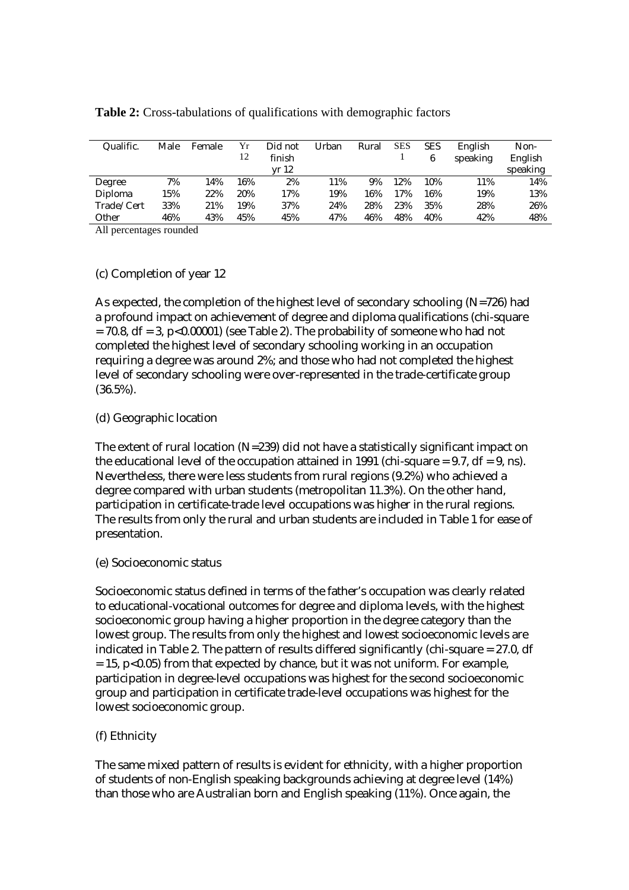| Qualific.  | Male | Female          | Yr  | Did not | Urban | Rural | <b>SES</b> | <b>SES</b> | English  | Non-     |
|------------|------|-----------------|-----|---------|-------|-------|------------|------------|----------|----------|
|            |      |                 | 12  | finish  |       |       |            |            | speaking | English  |
|            |      |                 |     | vr 12   |       |       |            |            |          | speaking |
| Degree     | 7%   | 4%              | 16% | 2%      | 11%   | 9%    | 12%        | 10%        | 11%      | 14%      |
| Diploma    | 15%  | 22%             | 20% | 17%     | 19%   | 16%   | 17%        | 16%        | 19%      | 13%      |
| Trade/Cert | 33%  | 21%             | 19% | 37%     | 24%   | 28%   | 23%        | 35%        | 28%      | 26%      |
| Other      | 46%  | 43%             | 45% | 45%     | 47%   | 46%   | 48%        | 40%        | 42%      | 48%      |
| 1.11       |      | $\cdot$ $\cdot$ |     |         |       |       |            |            |          |          |

**Table 2:** Cross-tabulations of qualifications with demographic factors

All percentages rounded

### (c) Completion of year 12

As expected, the completion of the highest level of secondary schooling (N=726) had a profound impact on achievement of degree and diploma qualifications (chi-square  $= 70.8$ , df  $= 3$ , p<0.00001) (see Table 2). The probability of someone who had not completed the highest level of secondary schooling working in an occupation requiring a degree was around 2%; and those who had not completed the highest level of secondary schooling were over-represented in the trade-certificate group (36.5%).

### (d) Geographic location

The extent of rural location (N=239) did not have a statistically significant impact on the educational level of the occupation attained in 1991 (chi-square  $= 9.7$ , df  $= 9$ , ns). Nevertheless, there were less students from rural regions (9.2%) who achieved a degree compared with urban students (metropolitan 11.3%). On the other hand, participation in certificate-trade level occupations was higher in the rural regions. The results from only the rural and urban students are included in Table 1 for ease of presentation.

(e) Socioeconomic status

Socioeconomic status defined in terms of the father's occupation was clearly related to educational-vocational outcomes for degree and diploma levels, with the highest socioeconomic group having a higher proportion in the degree category than the lowest group. The results from only the highest and lowest socioeconomic levels are indicated in Table 2. The pattern of results differed significantly (chi-square = 27.0, df  $= 15$ , p<0.05) from that expected by chance, but it was not uniform. For example, participation in degree-level occupations was highest for the second socioeconomic group and participation in certificate trade-level occupations was highest for the lowest socioeconomic group.

### (f) Ethnicity

The same mixed pattern of results is evident for ethnicity, with a higher proportion of students of non-English speaking backgrounds achieving at degree level (14%) than those who are Australian born and English speaking (11%). Once again, the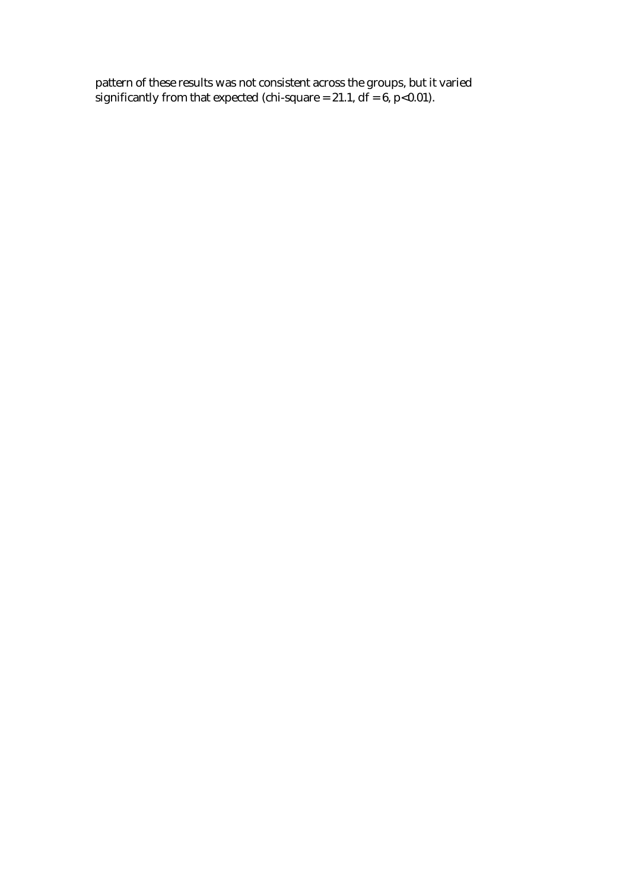pattern of these results was not consistent across the groups, but it varied significantly from that expected (chi-square =  $21.1$ , df =  $6$ , p<0.01).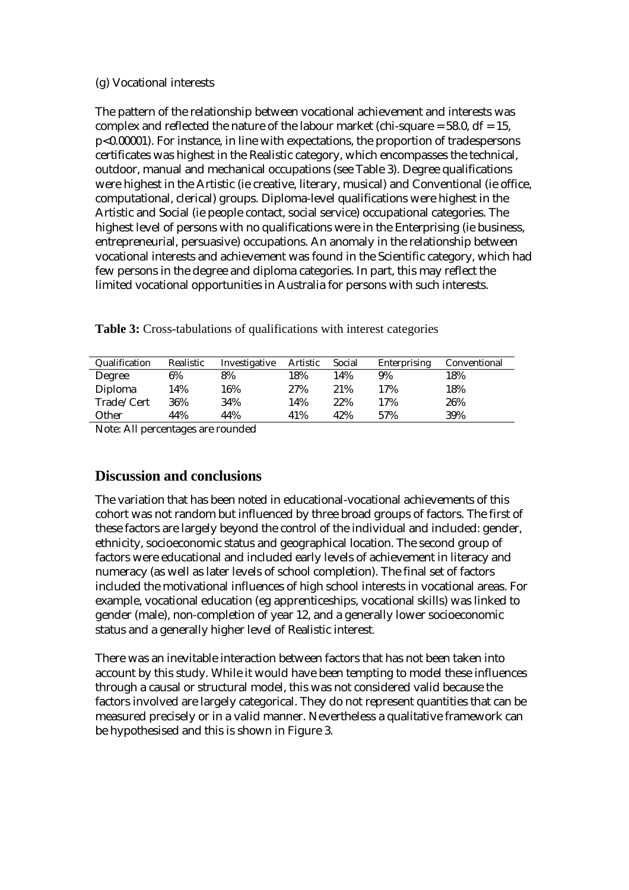### (g) Vocational interests

The pattern of the relationship between vocational achievement and interests was complex and reflected the nature of the labour market (chi-square  $= 58.0$ , df  $= 15$ , p<0.00001). For instance, in line with expectations, the proportion of tradespersons certificates was highest in the Realistic category, which encompasses the technical, outdoor, manual and mechanical occupations (see Table 3). Degree qualifications were highest in the Artistic (ie creative, literary, musical) and Conventional (ie office, computational, clerical) groups. Diploma-level qualifications were highest in the Artistic and Social (ie people contact, social service) occupational categories. The highest level of persons with no qualifications were in the Enterprising (ie business, entrepreneurial, persuasive) occupations. An anomaly in the relationship between vocational interests and achievement was found in the Scientific category, which had few persons in the degree and diploma categories. In part, this may reflect the limited vocational opportunities in Australia for persons with such interests.

| Table 3: Cross-tabulations of qualifications with interest categories |  |  |  |  |
|-----------------------------------------------------------------------|--|--|--|--|
|                                                                       |  |  |  |  |

| Qualification | Realistic | Investigative | Artistic | Social | Enterprising | Conventional |
|---------------|-----------|---------------|----------|--------|--------------|--------------|
| Degree        | 6%        | 8%            | 18%      | 14%    | 9%           | 18%          |
| Diploma       | 14%       | 16%           | 27%      | 21%    | 17%          | 18%          |
| Trade/Cert    | 36%       | 34%           | 14%      | 22%    | 17%          | 26%          |
| Other         | 44%       | 44%           | 41%      | 42%    | 57%          | 39%          |

Note: All percentages are rounded

# **Discussion and conclusions**

The variation that has been noted in educational-vocational achievements of this cohort was not random but influenced by three broad groups of factors. The first of these factors are largely beyond the control of the individual and included: gender, ethnicity, socioeconomic status and geographical location. The second group of factors were educational and included early levels of achievement in literacy and numeracy (as well as later levels of school completion). The final set of factors included the motivational influences of high school interests in vocational areas. For example, vocational education (eg apprenticeships, vocational skills) was linked to gender (male), non-completion of year 12, and a generally lower socioeconomic status and a generally higher level of Realistic interest.

There was an inevitable interaction between factors that has not been taken into account by this study. While it would have been tempting to model these influences through a causal or structural model, this was not considered valid because the factors involved are largely categorical. They do not represent quantities that can be measured precisely or in a valid manner. Nevertheless a qualitative framework can be hypothesised and this is shown in Figure 3.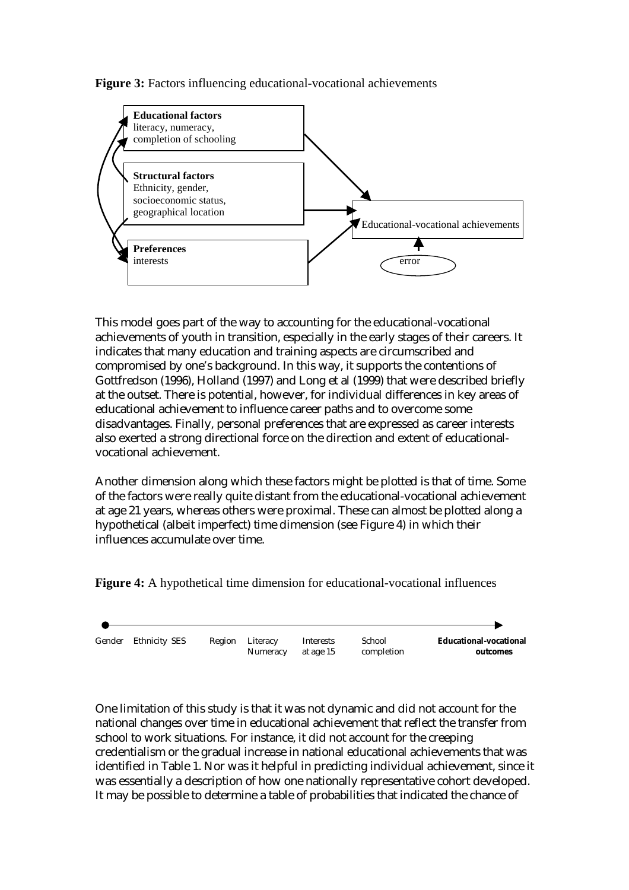**Figure 3:** Factors influencing educational-vocational achievements



This model goes part of the way to accounting for the educational-vocational achievements of youth in transition, especially in the early stages of their careers. It indicates that many education and training aspects are circumscribed and compromised by one's background. In this way, it supports the contentions of Gottfredson (1996), Holland (1997) and Long et al (1999) that were described briefly at the outset. There is potential, however, for individual differences in key areas of educational achievement to influence career paths and to overcome some disadvantages. Finally, personal preferences that are expressed as career interests also exerted a strong directional force on the direction and extent of educationalvocational achievement.

Another dimension along which these factors might be plotted is that of time. Some of the factors were really quite distant from the educational-vocational achievement at age 21 years, whereas others were proximal. These can almost be plotted along a hypothetical (albeit imperfect) time dimension (see Figure 4) in which their influences accumulate over time.

**Figure 4:** A hypothetical time dimension for educational-vocational influences



One limitation of this study is that it was not dynamic and did not account for the national changes over time in educational achievement that reflect the transfer from school to work situations. For instance, it did not account for the creeping credentialism or the gradual increase in national educational achievements that was identified in Table 1. Nor was it helpful in predicting individual achievement, since it was essentially a description of how one nationally representative cohort developed. It may be possible to determine a table of probabilities that indicated the chance of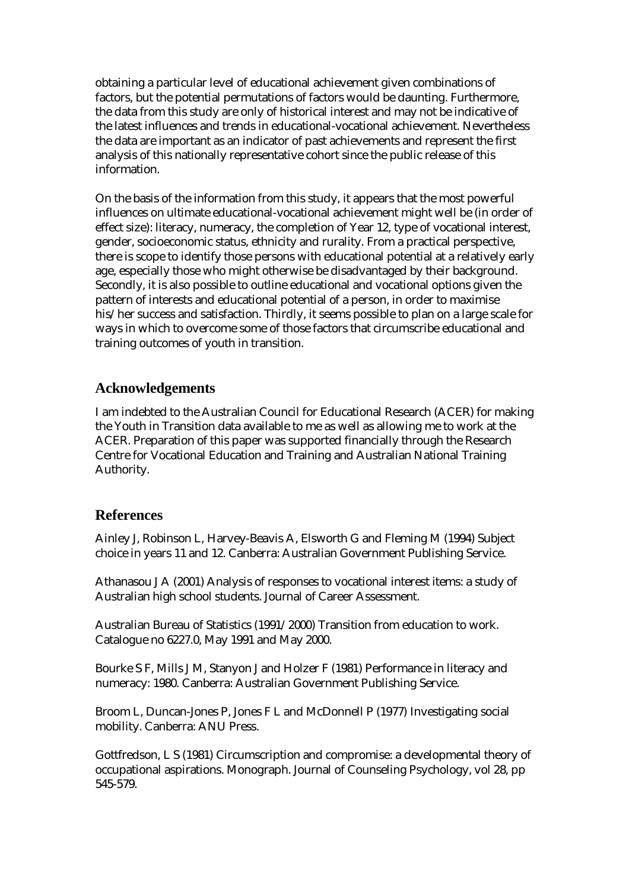obtaining a particular level of educational achievement given combinations of factors, but the potential permutations of factors would be daunting. Furthermore, the data from this study are only of historical interest and may not be indicative of the latest influences and trends in educational-vocational achievement. Nevertheless the data are important as an indicator of past achievements and represent the first analysis of this nationally representative cohort since the public release of this information.

On the basis of the information from this study, it appears that the most powerful influences on ultimate educational-vocational achievement might well be (in order of effect size): literacy, numeracy, the completion of Year 12, type of vocational interest, gender, socioeconomic status, ethnicity and rurality. From a practical perspective, there is scope to identify those persons with educational potential at a relatively early age, especially those who might otherwise be disadvantaged by their background. Secondly, it is also possible to outline educational and vocational options given the pattern of interests and educational potential of a person, in order to maximise his/her success and satisfaction. Thirdly, it seems possible to plan on a large scale for ways in which to overcome some of those factors that circumscribe educational and training outcomes of youth in transition.

# **Acknowledgements**

I am indebted to the Australian Council for Educational Research (ACER) for making the Youth in Transition data available to me as well as allowing me to work at the ACER. Preparation of this paper was supported financially through the Research Centre for Vocational Education and Training and Australian National Training Authority.

# **References**

Ainley J, Robinson L, Harvey-Beavis A, Elsworth G and Fleming M (1994) Subject choice in years 11 and 12. Canberra: Australian Government Publishing Service.

Athanasou J A (2001) Analysis of responses to vocational interest items: a study of Australian high school students. Journal of Career Assessment.

Australian Bureau of Statistics (1991/2000) Transition from education to work. Catalogue no 6227.0, May 1991 and May 2000.

Bourke S F, Mills J M, Stanyon J and Holzer F (1981) Performance in literacy and numeracy: 1980. Canberra: Australian Government Publishing Service.

Broom L, Duncan-Jones P, Jones F L and McDonnell P (1977) Investigating social mobility. Canberra: ANU Press.

Gottfredson, L S (1981) Circumscription and compromise: a developmental theory of occupational aspirations. Monograph. Journal of Counseling Psychology, vol 28, pp 545-579.